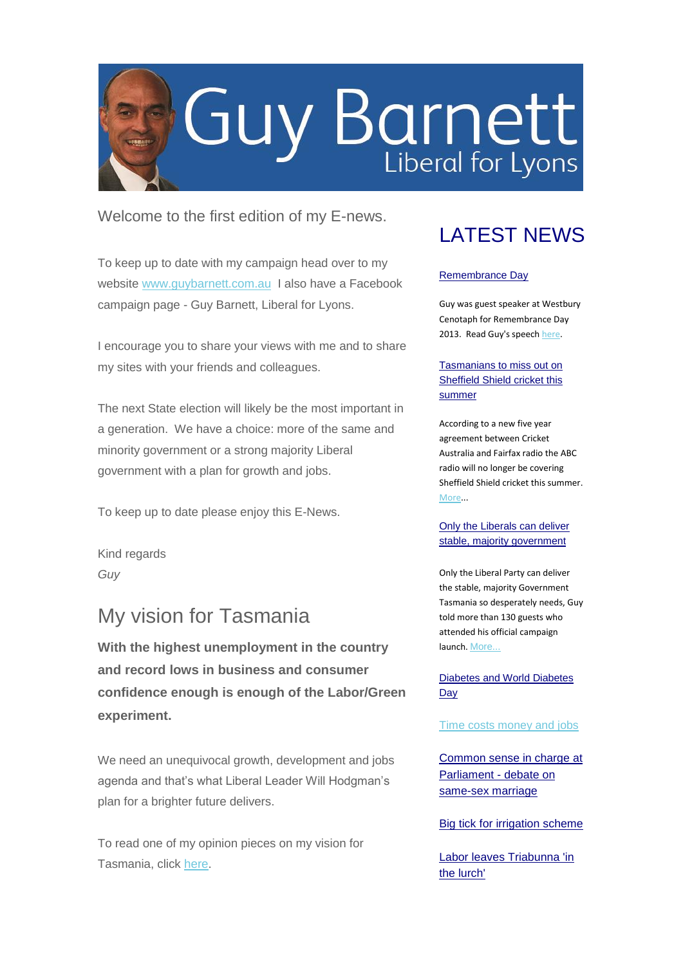

### Welcome to the first edition of my E-news.

To keep up to date with my campaign head over to my website [www.guybarnett.com.au](http://www.guybarnett.com.au/) I also have a Facebook campaign page - Guy Barnett, Liberal for Lyons.

I encourage you to share your views with me and to share my sites with your friends and colleagues.

The next State election will likely be the most important in a generation. We have a choice: more of the same and minority government or a strong majority Liberal government with a plan for growth and jobs.

To keep up to date please enjoy this E-News.

Kind regards *Guy*

### My vision for Tasmania

**With the highest unemployment in the country and record lows in business and consumer confidence enough is enough of the Labor/Green experiment.**

We need an unequivocal growth, development and jobs agenda and that's what Liberal Leader Will Hodgman's plan for a brighter future delivers.

To read one of my opinion pieces on my vision for Tasmania, click [here.](http://www.guybarnett.com.au/index.php/download_file/view/89/1/)

## LATEST NEWS

#### [Remembrance Day](http://www.guybarnett.com.au/~guybarne/files/5913/8416/7633/Speech.pdf)

Guy was guest speaker at Westbury Cenotaph for Remembrance Day 2013. Read Guy's speec[h here.](http://www.guybarnett.com.au/~guybarne/files/5913/8416/7633/Speech.pdf)

#### [Tasmanians to miss out on](http://www.guybarnett.com.au/~guybarne/files/5413/8439/3992/Sheffield_Shield_cricket_-_5.11.13.pdf)  [Sheffield Shield cricket this](http://www.guybarnett.com.au/~guybarne/files/5413/8439/3992/Sheffield_Shield_cricket_-_5.11.13.pdf)  [summer](http://www.guybarnett.com.au/~guybarne/files/5413/8439/3992/Sheffield_Shield_cricket_-_5.11.13.pdf)

According to a new five year agreement between Cricket Australia and Fairfax radio the ABC radio will no longer be covering Sheffield Shield cricket this summer. [More.](http://www.guybarnett.com.au/~guybarne/files/5413/8439/3992/Sheffield_Shield_cricket_-_5.11.13.pdf)..

#### [Only the Liberals can deliver](http://www.guybarnett.com.au/~guybarne/files/9213/8241/6522/Barnett_launch_18.10.13.pdf)  [stable, majority government](http://www.guybarnett.com.au/~guybarne/files/9213/8241/6522/Barnett_launch_18.10.13.pdf)

Only the Liberal Party can deliver the stable, majority Government Tasmania so desperately needs, Guy told more than 130 guests who attended his official campaign launch. [More...](http://www.guybarnett.com.au/~guybarne/files/9213/8241/6522/Barnett_launch_18.10.13.pdf)

#### [Diabetes and World Diabetes](http://www.guybarnett.com.au/~guybarne/files/1613/8416/2849/Diabetes_Ltr_to_the_Editor_11.11.13.pdf)  **[Day](http://www.guybarnett.com.au/~guybarne/files/1613/8416/2849/Diabetes_Ltr_to_the_Editor_11.11.13.pdf)**

[Time costs money and jobs](http://www.guybarnett.com.au/~guybarne/files/8713/8380/7121/Ltr_to_the_Editor_7.11.13.pdf)

[Common sense in charge at](http://www.guybarnett.com.au/~guybarne/files/2113/8369/9953/Marriage_29.10.13.pdf)  [Parliament -](http://www.guybarnett.com.au/~guybarne/files/2113/8369/9953/Marriage_29.10.13.pdf) debate on [same-sex marriage](http://www.guybarnett.com.au/~guybarne/files/2113/8369/9953/Marriage_29.10.13.pdf)

[Big tick for irrigation scheme](http://www.guybarnett.com.au/~guybarne/files/8913/8258/5952/South_East_Irrigation_letter_to_the_editor_24.10.13.pdf)

[Labor leaves Triabunna 'in](http://www.guybarnett.com.au/~guybarne/files/4313/8120/7835/Triabunna_Ltr_to_the_Editor_8.10.13.pdf)  [the lurch'](http://www.guybarnett.com.au/~guybarne/files/4313/8120/7835/Triabunna_Ltr_to_the_Editor_8.10.13.pdf)